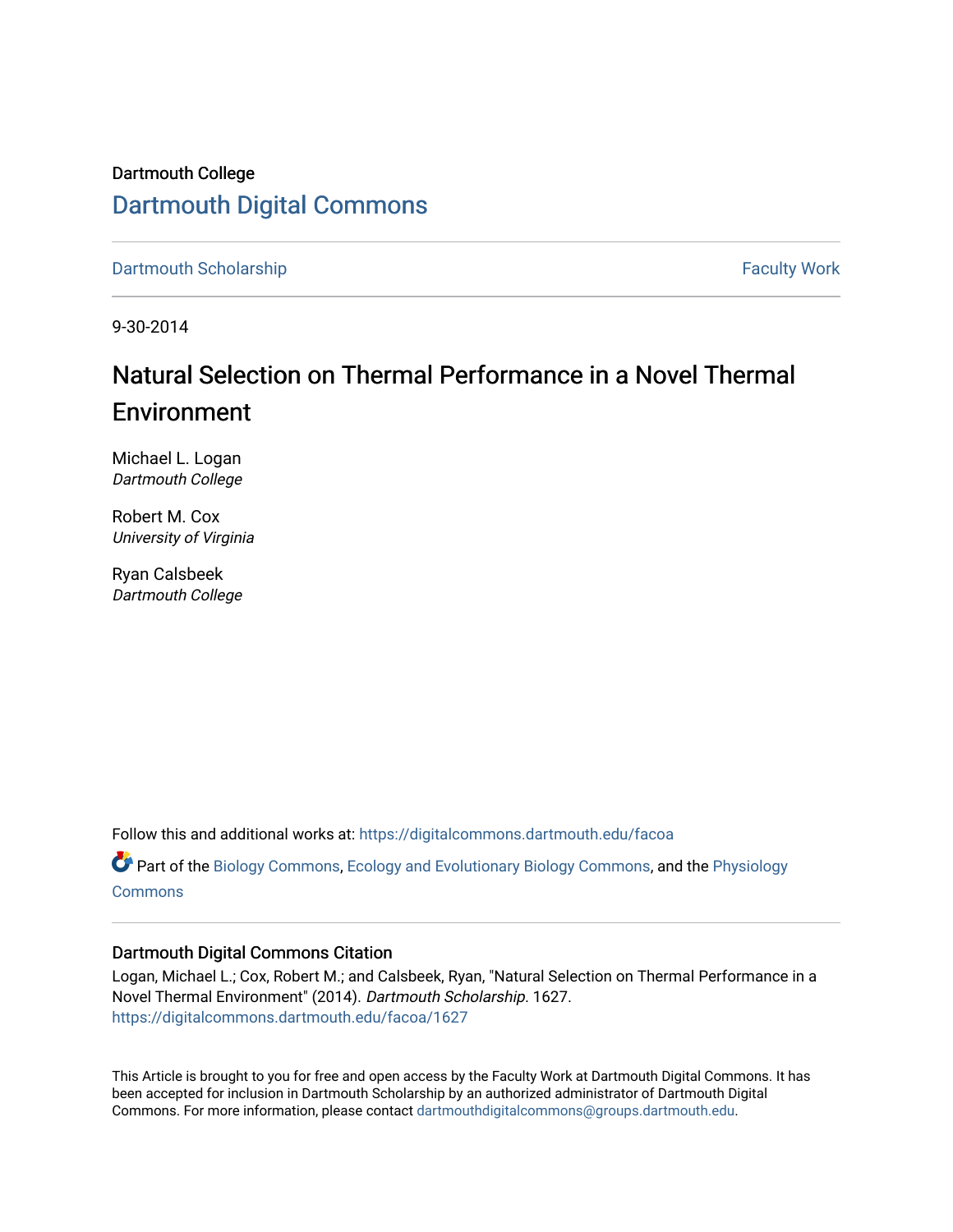### Dartmouth College [Dartmouth Digital Commons](https://digitalcommons.dartmouth.edu/)

[Dartmouth Scholarship](https://digitalcommons.dartmouth.edu/facoa) Faculty Work

9-30-2014

### Natural Selection on Thermal Performance in a Novel Thermal Environment

Michael L. Logan Dartmouth College

Robert M. Cox University of Virginia

Ryan Calsbeek Dartmouth College

Follow this and additional works at: [https://digitalcommons.dartmouth.edu/facoa](https://digitalcommons.dartmouth.edu/facoa?utm_source=digitalcommons.dartmouth.edu%2Ffacoa%2F1627&utm_medium=PDF&utm_campaign=PDFCoverPages)

Part of the [Biology Commons,](http://network.bepress.com/hgg/discipline/41?utm_source=digitalcommons.dartmouth.edu%2Ffacoa%2F1627&utm_medium=PDF&utm_campaign=PDFCoverPages) [Ecology and Evolutionary Biology Commons](http://network.bepress.com/hgg/discipline/14?utm_source=digitalcommons.dartmouth.edu%2Ffacoa%2F1627&utm_medium=PDF&utm_campaign=PDFCoverPages), and the [Physiology](http://network.bepress.com/hgg/discipline/69?utm_source=digitalcommons.dartmouth.edu%2Ffacoa%2F1627&utm_medium=PDF&utm_campaign=PDFCoverPages) **[Commons](http://network.bepress.com/hgg/discipline/69?utm_source=digitalcommons.dartmouth.edu%2Ffacoa%2F1627&utm_medium=PDF&utm_campaign=PDFCoverPages)** 

### Dartmouth Digital Commons Citation

Logan, Michael L.; Cox, Robert M.; and Calsbeek, Ryan, "Natural Selection on Thermal Performance in a Novel Thermal Environment" (2014). Dartmouth Scholarship. 1627. [https://digitalcommons.dartmouth.edu/facoa/1627](https://digitalcommons.dartmouth.edu/facoa/1627?utm_source=digitalcommons.dartmouth.edu%2Ffacoa%2F1627&utm_medium=PDF&utm_campaign=PDFCoverPages) 

This Article is brought to you for free and open access by the Faculty Work at Dartmouth Digital Commons. It has been accepted for inclusion in Dartmouth Scholarship by an authorized administrator of Dartmouth Digital Commons. For more information, please contact [dartmouthdigitalcommons@groups.dartmouth.edu](mailto:dartmouthdigitalcommons@groups.dartmouth.edu).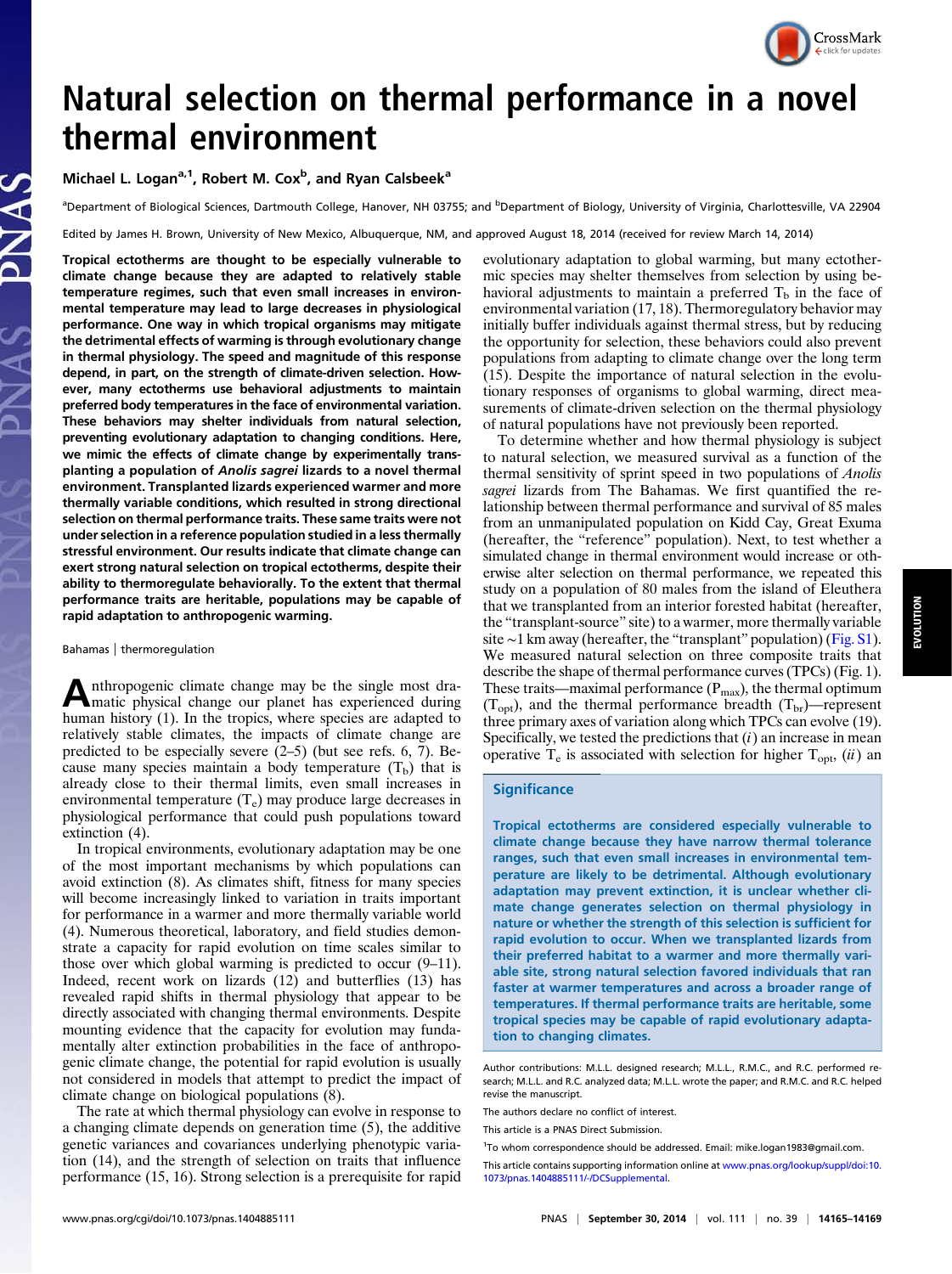# CrossMark

## Natural selection on thermal performance in a novel thermal environment

Michael L. Logan<sup>a,1</sup>, Robert M. Cox<sup>b</sup>, and Ryan Calsbeek<sup>a</sup>

<sup>a</sup>Department of Biological Sciences, Dartmouth College, Hanover, NH 03755; and <sup>b</sup>Department of Biology, University of Virginia, Charlottesville, VA 22904

Edited by James H. Brown, University of New Mexico, Albuquerque, NM, and approved August 18, 2014 (received for review March 14, 2014)

Tropical ectotherms are thought to be especially vulnerable to climate change because they are adapted to relatively stable temperature regimes, such that even small increases in environmental temperature may lead to large decreases in physiological performance. One way in which tropical organisms may mitigate the detrimental effects of warming is through evolutionary change in thermal physiology. The speed and magnitude of this response depend, in part, on the strength of climate-driven selection. However, many ectotherms use behavioral adjustments to maintain preferred body temperatures in the face of environmental variation. These behaviors may shelter individuals from natural selection, preventing evolutionary adaptation to changing conditions. Here, we mimic the effects of climate change by experimentally transplanting a population of Anolis sagrei lizards to a novel thermal environment. Transplanted lizards experienced warmer and more thermally variable conditions, which resulted in strong directional selection on thermal performance traits. These same traits were not under selection in a reference population studied in a less thermally stressful environment. Our results indicate that climate change can exert strong natural selection on tropical ectotherms, despite their ability to thermoregulate behaviorally. To the extent that thermal performance traits are heritable, populations may be capable of rapid adaptation to anthropogenic warming.

Bahamas | thermoregulation

Anthropogenic climate change may be the single most dra-matic physical change our planet has experienced during human history (1). In the tropics, where species are adapted to relatively stable climates, the impacts of climate change are predicted to be especially severe (2–5) (but see refs. 6, 7). Because many species maintain a body temperature  $(T_b)$  that is already close to their thermal limits, even small increases in environmental temperature  $(T_e)$  may produce large decreases in physiological performance that could push populations toward extinction (4).

In tropical environments, evolutionary adaptation may be one of the most important mechanisms by which populations can avoid extinction (8). As climates shift, fitness for many species will become increasingly linked to variation in traits important for performance in a warmer and more thermally variable world (4). Numerous theoretical, laboratory, and field studies demonstrate a capacity for rapid evolution on time scales similar to those over which global warming is predicted to occur (9–11). Indeed, recent work on lizards (12) and butterflies (13) has revealed rapid shifts in thermal physiology that appear to be directly associated with changing thermal environments. Despite mounting evidence that the capacity for evolution may fundamentally alter extinction probabilities in the face of anthropogenic climate change, the potential for rapid evolution is usually not considered in models that attempt to predict the impact of climate change on biological populations (8).

The rate at which thermal physiology can evolve in response to a changing climate depends on generation time (5), the additive genetic variances and covariances underlying phenotypic variation (14), and the strength of selection on traits that influence performance (15, 16). Strong selection is a prerequisite for rapid evolutionary adaptation to global warming, but many ectothermic species may shelter themselves from selection by using behavioral adjustments to maintain a preferred  $T<sub>b</sub>$  in the face of environmental variation (17, 18). Thermoregulatory behavior may initially buffer individuals against thermal stress, but by reducing the opportunity for selection, these behaviors could also prevent populations from adapting to climate change over the long term (15). Despite the importance of natural selection in the evolutionary responses of organisms to global warming, direct measurements of climate-driven selection on the thermal physiology of natural populations have not previously been reported.

To determine whether and how thermal physiology is subject to natural selection, we measured survival as a function of the thermal sensitivity of sprint speed in two populations of Anolis sagrei lizards from The Bahamas. We first quantified the relationship between thermal performance and survival of 85 males from an unmanipulated population on Kidd Cay, Great Exuma (hereafter, the "reference" population). Next, to test whether a simulated change in thermal environment would increase or otherwise alter selection on thermal performance, we repeated this study on a population of 80 males from the island of Eleuthera that we transplanted from an interior forested habitat (hereafter, the "transplant-source" site) to a warmer, more thermally variable site ∼1 km away (hereafter, the "transplant" population) ([Fig. S1](http://www.pnas.org/lookup/suppl/doi:10.1073/pnas.1404885111/-/DCSupplemental/pnas.201404885SI.pdf?targetid=nameddest=SF1)). We measured natural selection on three composite traits that describe the shape of thermal performance curves (TPCs) (Fig. 1). These traits—maximal performance  $(P_{\text{max}})$ , the thermal optimum  $(T_{opt})$ , and the thermal performance breadth  $(T_{br})$ —represent three primary axes of variation along which TPCs can evolve (19). Specifically, we tested the predictions that  $(i)$  an increase in mean operative  $T_e$  is associated with selection for higher  $T_{\text{out}}$ , (ii) an

#### **Significance**

Tropical ectotherms are considered especially vulnerable to climate change because they have narrow thermal tolerance ranges, such that even small increases in environmental temperature are likely to be detrimental. Although evolutionary adaptation may prevent extinction, it is unclear whether climate change generates selection on thermal physiology in nature or whether the strength of this selection is sufficient for rapid evolution to occur. When we transplanted lizards from their preferred habitat to a warmer and more thermally variable site, strong natural selection favored individuals that ran faster at warmer temperatures and across a broader range of temperatures. If thermal performance traits are heritable, some tropical species may be capable of rapid evolutionary adaptation to changing climates.

Author contributions: M.L.L. designed research; M.L.L., R.M.C., and R.C. performed research; M.L.L. and R.C. analyzed data; M.L.L. wrote the paper; and R.M.C. and R.C. helped revise the manuscript.

The authors declare no conflict of interest.

This article is a PNAS Direct Submission.

<sup>&</sup>lt;sup>1</sup>To whom correspondence should be addressed. Email: [mike.logan1983@gmail.com.](mailto:mike.logan1983@gmail.com)

This article contains supporting information online at [www.pnas.org/lookup/suppl/doi:10.](http://www.pnas.org/lookup/suppl/doi:10.1073/pnas.1404885111/-/DCSupplemental) [1073/pnas.1404885111/-/DCSupplemental](http://www.pnas.org/lookup/suppl/doi:10.1073/pnas.1404885111/-/DCSupplemental).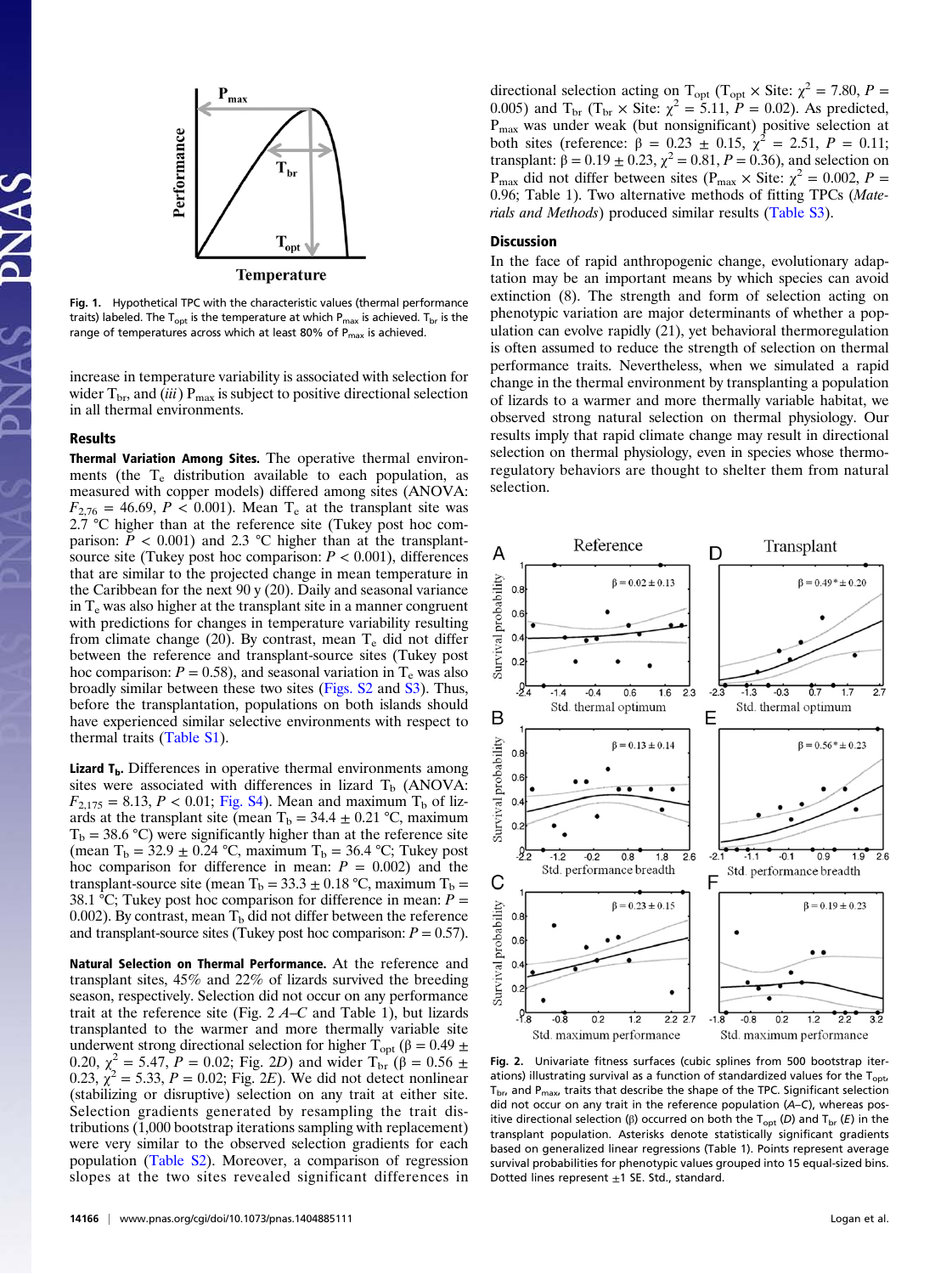

Fig. 1. Hypothetical TPC with the characteristic values (thermal performance traits) labeled. The  $T_{opt}$  is the temperature at which  $P_{max}$  is achieved.  $T_{br}$  is the range of temperatures across which at least 80% of P<sub>max</sub> is achieved.

increase in temperature variability is associated with selection for wider  $T_{\text{br}}$ , and (iii)  $P_{\text{max}}$  is subject to positive directional selection in all thermal environments.

### Results

Thermal Variation Among Sites. The operative thermal environments (the  $T_e$  distribution available to each population, as measured with copper models) differed among sites (ANOVA:  $F_{2,76} = 46.69$ ,  $P < 0.001$ ). Mean T<sub>e</sub> at the transplant site was 2.7 °C higher than at the reference site (Tukey post hoc comparison:  $\dot{P}$  < 0.001) and 2.3 °C higher than at the transplantsource site (Tukey post hoc comparison:  $P < 0.001$ ), differences that are similar to the projected change in mean temperature in the Caribbean for the next 90 y (20). Daily and seasonal variance in  $T_e$  was also higher at the transplant site in a manner congruent with predictions for changes in temperature variability resulting from climate change (20). By contrast, mean  $T_e$  did not differ between the reference and transplant-source sites (Tukey post hoc comparison:  $P = 0.58$ ), and seasonal variation in T<sub>e</sub> was also broadly similar between these two sites [\(Figs. S2](http://www.pnas.org/lookup/suppl/doi:10.1073/pnas.1404885111/-/DCSupplemental/pnas.201404885SI.pdf?targetid=nameddest=SF2) and [S3](http://www.pnas.org/lookup/suppl/doi:10.1073/pnas.1404885111/-/DCSupplemental/pnas.201404885SI.pdf?targetid=nameddest=SF3)). Thus, before the transplantation, populations on both islands should have experienced similar selective environments with respect to thermal traits [\(Table S1](http://www.pnas.org/lookup/suppl/doi:10.1073/pnas.1404885111/-/DCSupplemental/pnas.201404885SI.pdf?targetid=nameddest=ST1)).

**Lizard**  $T_b$ **.** Differences in operative thermal environments among sites were associated with differences in lizard  $T<sub>b</sub>$  (ANOVA:  $F_{2,175} = 8.13, P < 0.01$ ; [Fig. S4\)](http://www.pnas.org/lookup/suppl/doi:10.1073/pnas.1404885111/-/DCSupplemental/pnas.201404885SI.pdf?targetid=nameddest=SF4). Mean and maximum T<sub>b</sub> of lizards at the transplant site (mean  $T_b = 34.4 \pm 0.21$  °C, maximum  $T_b = 38.6 \text{ °C}$ ) were significantly higher than at the reference site (mean  $T_b = 32.9 \pm 0.24$  °C, maximum  $T_b = 36.4$  °C; Tukey post hoc comparison for difference in mean:  $P = 0.002$ ) and the transplant-source site (mean T<sub>b</sub> = 33.3  $\pm$  0.18 °C, maximum T<sub>b</sub> = 38.1 °C; Tukey post hoc comparison for difference in mean:  $P =$ 0.002). By contrast, mean  $T<sub>b</sub>$  did not differ between the reference and transplant-source sites (Tukey post hoc comparison:  $P = 0.57$ ).

Natural Selection on Thermal Performance. At the reference and transplant sites, 45% and 22% of lizards survived the breeding season, respectively. Selection did not occur on any performance trait at the reference site (Fig.  $2 \text{ A--C}$  and Table 1), but lizards transplanted to the warmer and more thermally variable site underwent strong directional selection for higher  $\dot{T}_{opt}$  (β = 0.49 ± 0.20,  $\chi^2 = 5.47$ ,  $P = 0.02$ ; Fig. 2D) and wider  $T_{\text{br}}(\beta = 0.56 \pm 1.02)$  $0.23, \chi^2 = 5.33, P = 0.02$ ; Fig. 2E). We did not detect nonlinear (stabilizing or disruptive) selection on any trait at either site. Selection gradients generated by resampling the trait distributions (1,000 bootstrap iterations sampling with replacement) were very similar to the observed selection gradients for each population ([Table S2\)](http://www.pnas.org/lookup/suppl/doi:10.1073/pnas.1404885111/-/DCSupplemental/pnas.201404885SI.pdf?targetid=nameddest=ST2). Moreover, a comparison of regression slopes at the two sites revealed significant differences in

directional selection acting on T<sub>opt</sub> (T<sub>opt</sub>  $\times$  Site:  $\chi^2 = 7.80$ ,  $P =$ 0.005) and T<sub>br</sub> (T<sub>br</sub> × Site:  $\chi^2 = 5.11$ ,  $P = 0.02$ ). As predicted,  $P_{\text{max}}$  was under weak (but nonsignificant) positive selection at both sites (reference:  $\beta = 0.23 \pm 0.15$ ,  $\chi^2 = 2.51$ ,  $P = 0.11$ ; transplant:  $\beta = 0.19 \pm 0.23$ ,  $\chi^2 = 0.81$ ,  $P = 0.36$ ), and selection on P<sub>max</sub> did not differ between sites (P<sub>max</sub>  $\times$  Site:  $\chi^2 = 0.002$ , P = 0.96; Table 1). Two alternative methods of fitting TPCs (Materials and Methods) produced similar results ([Table S3\)](http://www.pnas.org/lookup/suppl/doi:10.1073/pnas.1404885111/-/DCSupplemental/pnas.201404885SI.pdf?targetid=nameddest=ST3).

### Discussion

In the face of rapid anthropogenic change, evolutionary adaptation may be an important means by which species can avoid extinction (8). The strength and form of selection acting on phenotypic variation are major determinants of whether a population can evolve rapidly (21), yet behavioral thermoregulation is often assumed to reduce the strength of selection on thermal performance traits. Nevertheless, when we simulated a rapid change in the thermal environment by transplanting a population of lizards to a warmer and more thermally variable habitat, we observed strong natural selection on thermal physiology. Our results imply that rapid climate change may result in directional selection on thermal physiology, even in species whose thermoregulatory behaviors are thought to shelter them from natural selection.



Fig. 2. Univariate fitness surfaces (cubic splines from 500 bootstrap iterations) illustrating survival as a function of standardized values for the  $T_{\text{out}}$ T<sub>br</sub>, and P<sub>max</sub>, traits that describe the shape of the TPC. Significant selection did not occur on any trait in the reference population (A–C), whereas positive directional selection (β) occurred on both the T<sub>opt</sub> (D) and T<sub>br</sub> (E) in the transplant population. Asterisks denote statistically significant gradients based on generalized linear regressions (Table 1). Points represent average survival probabilities for phenotypic values grouped into 15 equal-sized bins. Dotted lines represent  $\pm 1$  SE. Std., standard.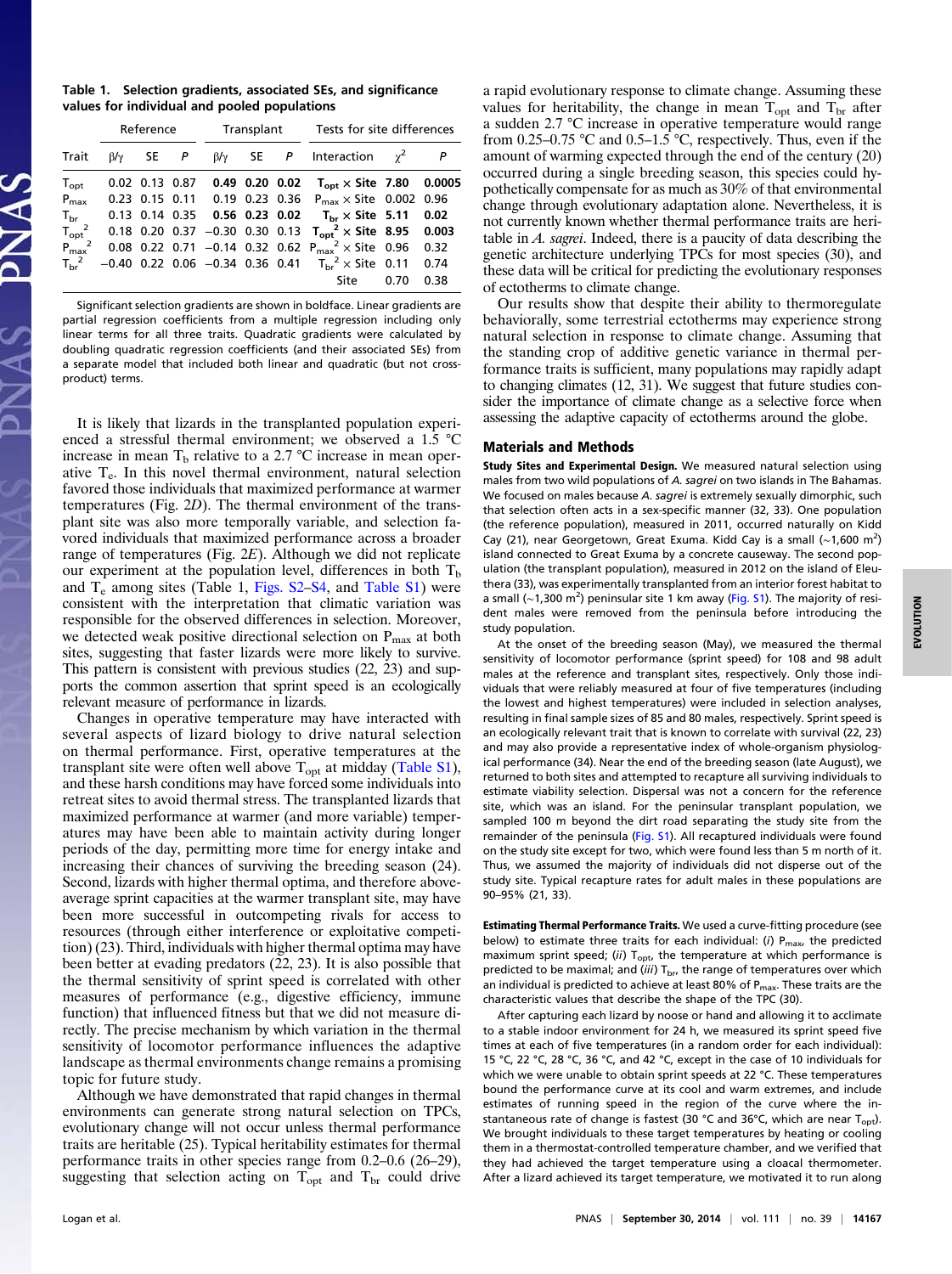Table 1. Selection gradients, associated SEs, and significance values for individual and pooled populations

|                                       | Reference      |                  |  | Transplant                          |                      |  | Tests for site differences                                  |            |        |
|---------------------------------------|----------------|------------------|--|-------------------------------------|----------------------|--|-------------------------------------------------------------|------------|--------|
| Trait                                 | $\beta/\gamma$ | SE P             |  |                                     |                      |  | $\beta/\gamma$ SE P Interaction                             | $\gamma^2$ |        |
| $T_{opt}$                             |                | $0.02$ 0.13 0.87 |  |                                     | $0.49$ $0.20$ $0.02$ |  | $T_{\rm{opt}} \times$ Site 7.80                             |            | 0.0005 |
| $P_{\text{max}}$                      |                | $0.23$ 0.15 0.11 |  | 0.19 0.23 0.36                      |                      |  | $P_{max} \times$ Site 0.002 0.96                            |            |        |
| $T_{\rm br}$                          |                |                  |  | 0.13 0.14 0.35 0.56 0.23 0.02       |                      |  | $T_{\rm br} \times$ Site 5.11                               |            | 0.02   |
| $\frac{T_{\rm opt}^2}{P_{\rm max}^2}$ |                |                  |  | $0.18$ 0.20 0.37 -0.30 0.30 0.13    |                      |  | $T_{opt}^2 \times$ Site 8.95                                |            | 0.003  |
|                                       |                |                  |  |                                     |                      |  | 0.08 0.22 0.71 -0.14 0.32 0.62 $P_{max}^2 \times$ Site 0.96 |            | 0.32   |
| $T_{\rm hr}^2$                        |                |                  |  | $-0.40$ 0.22 0.06 $-0.34$ 0.36 0.41 |                      |  | $T_{\rm br}^2 \times$ Site 0.11                             |            | 0.74   |
|                                       |                |                  |  |                                     |                      |  | Site                                                        | 0.70       | 0.38   |

Significant selection gradients are shown in boldface. Linear gradients are partial regression coefficients from a multiple regression including only linear terms for all three traits. Quadratic gradients were calculated by doubling quadratic regression coefficients (and their associated SEs) from a separate model that included both linear and quadratic (but not crossproduct) terms.

It is likely that lizards in the transplanted population experienced a stressful thermal environment; we observed a 1.5 °C increase in mean  $T<sub>b</sub>$  relative to a 2.7 °C increase in mean operative  $T_e$ . In this novel thermal environment, natural selection favored those individuals that maximized performance at warmer temperatures (Fig. 2D). The thermal environment of the transplant site was also more temporally variable, and selection favored individuals that maximized performance across a broader range of temperatures (Fig. 2E). Although we did not replicate our experiment at the population level, differences in both  $T<sub>b</sub>$ and  $T_e$  among sites (Table 1, [Figs. S2](http://www.pnas.org/lookup/suppl/doi:10.1073/pnas.1404885111/-/DCSupplemental/pnas.201404885SI.pdf?targetid=nameddest=SF2)–[S4,](http://www.pnas.org/lookup/suppl/doi:10.1073/pnas.1404885111/-/DCSupplemental/pnas.201404885SI.pdf?targetid=nameddest=SF4) and [Table S1\)](http://www.pnas.org/lookup/suppl/doi:10.1073/pnas.1404885111/-/DCSupplemental/pnas.201404885SI.pdf?targetid=nameddest=ST1) were consistent with the interpretation that climatic variation was responsible for the observed differences in selection. Moreover, we detected weak positive directional selection on  $P_{\text{max}}$  at both sites, suggesting that faster lizards were more likely to survive. This pattern is consistent with previous studies (22, 23) and supports the common assertion that sprint speed is an ecologically relevant measure of performance in lizards.

Changes in operative temperature may have interacted with several aspects of lizard biology to drive natural selection on thermal performance. First, operative temperatures at the transplant site were often well above  $T_{opt}$  at midday ([Table S1\)](http://www.pnas.org/lookup/suppl/doi:10.1073/pnas.1404885111/-/DCSupplemental/pnas.201404885SI.pdf?targetid=nameddest=ST1), and these harsh conditions may have forced some individuals into retreat sites to avoid thermal stress. The transplanted lizards that maximized performance at warmer (and more variable) temperatures may have been able to maintain activity during longer periods of the day, permitting more time for energy intake and increasing their chances of surviving the breeding season (24). Second, lizards with higher thermal optima, and therefore aboveaverage sprint capacities at the warmer transplant site, may have been more successful in outcompeting rivals for access to resources (through either interference or exploitative competition) (23). Third, individuals with higher thermal optima may have been better at evading predators (22, 23). It is also possible that the thermal sensitivity of sprint speed is correlated with other measures of performance (e.g., digestive efficiency, immune function) that influenced fitness but that we did not measure directly. The precise mechanism by which variation in the thermal sensitivity of locomotor performance influences the adaptive landscape as thermal environments change remains a promising topic for future study.

Although we have demonstrated that rapid changes in thermal environments can generate strong natural selection on TPCs, evolutionary change will not occur unless thermal performance traits are heritable (25). Typical heritability estimates for thermal performance traits in other species range from 0.2–0.6 (26–29), suggesting that selection acting on  $T_{opt}$  and  $T_{br}$  could drive

a rapid evolutionary response to climate change. Assuming these values for heritability, the change in mean  $T_{opt}$  and  $T_{br}$  after a sudden 2.7 °C increase in operative temperature would range from 0.25–0.75 °C and 0.5–1.5 °C, respectively. Thus, even if the amount of warming expected through the end of the century (20) occurred during a single breeding season, this species could hypothetically compensate for as much as 30% of that environmental change through evolutionary adaptation alone. Nevertheless, it is not currently known whether thermal performance traits are heritable in A. sagrei. Indeed, there is a paucity of data describing the genetic architecture underlying TPCs for most species (30), and these data will be critical for predicting the evolutionary responses of ectotherms to climate change.

Our results show that despite their ability to thermoregulate behaviorally, some terrestrial ectotherms may experience strong natural selection in response to climate change. Assuming that the standing crop of additive genetic variance in thermal performance traits is sufficient, many populations may rapidly adapt to changing climates (12, 31). We suggest that future studies consider the importance of climate change as a selective force when assessing the adaptive capacity of ectotherms around the globe.

### Materials and Methods

Study Sites and Experimental Design. We measured natural selection using males from two wild populations of A. sagrei on two islands in The Bahamas. We focused on males because A. sagrei is extremely sexually dimorphic, such that selection often acts in a sex-specific manner (32, 33). One population (the reference population), measured in 2011, occurred naturally on Kidd Cay (21), near Georgetown, Great Exuma. Kidd Cay is a small (~1,600 m<sup>2</sup>) island connected to Great Exuma by a concrete causeway. The second population (the transplant population), measured in 2012 on the island of Eleuthera (33), was experimentally transplanted from an interior forest habitat to a small (~1,300 m<sup>2</sup>) peninsular site 1 km away [\(Fig. S1](http://www.pnas.org/lookup/suppl/doi:10.1073/pnas.1404885111/-/DCSupplemental/pnas.201404885SI.pdf?targetid=nameddest=SF1)). The majority of resident males were removed from the peninsula before introducing the study population.

At the onset of the breeding season (May), we measured the thermal sensitivity of locomotor performance (sprint speed) for 108 and 98 adult males at the reference and transplant sites, respectively. Only those individuals that were reliably measured at four of five temperatures (including the lowest and highest temperatures) were included in selection analyses, resulting in final sample sizes of 85 and 80 males, respectively. Sprint speed is an ecologically relevant trait that is known to correlate with survival (22, 23) and may also provide a representative index of whole-organism physiological performance (34). Near the end of the breeding season (late August), we returned to both sites and attempted to recapture all surviving individuals to estimate viability selection. Dispersal was not a concern for the reference site, which was an island. For the peninsular transplant population, we sampled 100 m beyond the dirt road separating the study site from the remainder of the peninsula ([Fig. S1\)](http://www.pnas.org/lookup/suppl/doi:10.1073/pnas.1404885111/-/DCSupplemental/pnas.201404885SI.pdf?targetid=nameddest=SF1). All recaptured individuals were found on the study site except for two, which were found less than 5 m north of it. Thus, we assumed the majority of individuals did not disperse out of the study site. Typical recapture rates for adult males in these populations are 90–95% (21, 33).

Estimating Thermal Performance Traits. We used a curve-fitting procedure (see below) to estimate three traits for each individual: (i)  $P_{\text{max}}$ , the predicted maximum sprint speed; (ii)  $T_{\text{opt}}$  the temperature at which performance is predicted to be maximal; and (iii)  $T_{\text{br}}$  the range of temperatures over which an individual is predicted to achieve at least 80% of  $P_{\text{max}}$ . These traits are the characteristic values that describe the shape of the TPC (30).

After capturing each lizard by noose or hand and allowing it to acclimate to a stable indoor environment for 24 h, we measured its sprint speed five times at each of five temperatures (in a random order for each individual): 15 °C, 22 °C, 28 °C, 36 °C, and 42 °C, except in the case of 10 individuals for which we were unable to obtain sprint speeds at 22 °C. These temperatures bound the performance curve at its cool and warm extremes, and include estimates of running speed in the region of the curve where the instantaneous rate of change is fastest (30 °C and 36°C, which are near  $T_{\text{opt}}$ ). We brought individuals to these target temperatures by heating or cooling them in a thermostat-controlled temperature chamber, and we verified that they had achieved the target temperature using a cloacal thermometer. After a lizard achieved its target temperature, we motivated it to run along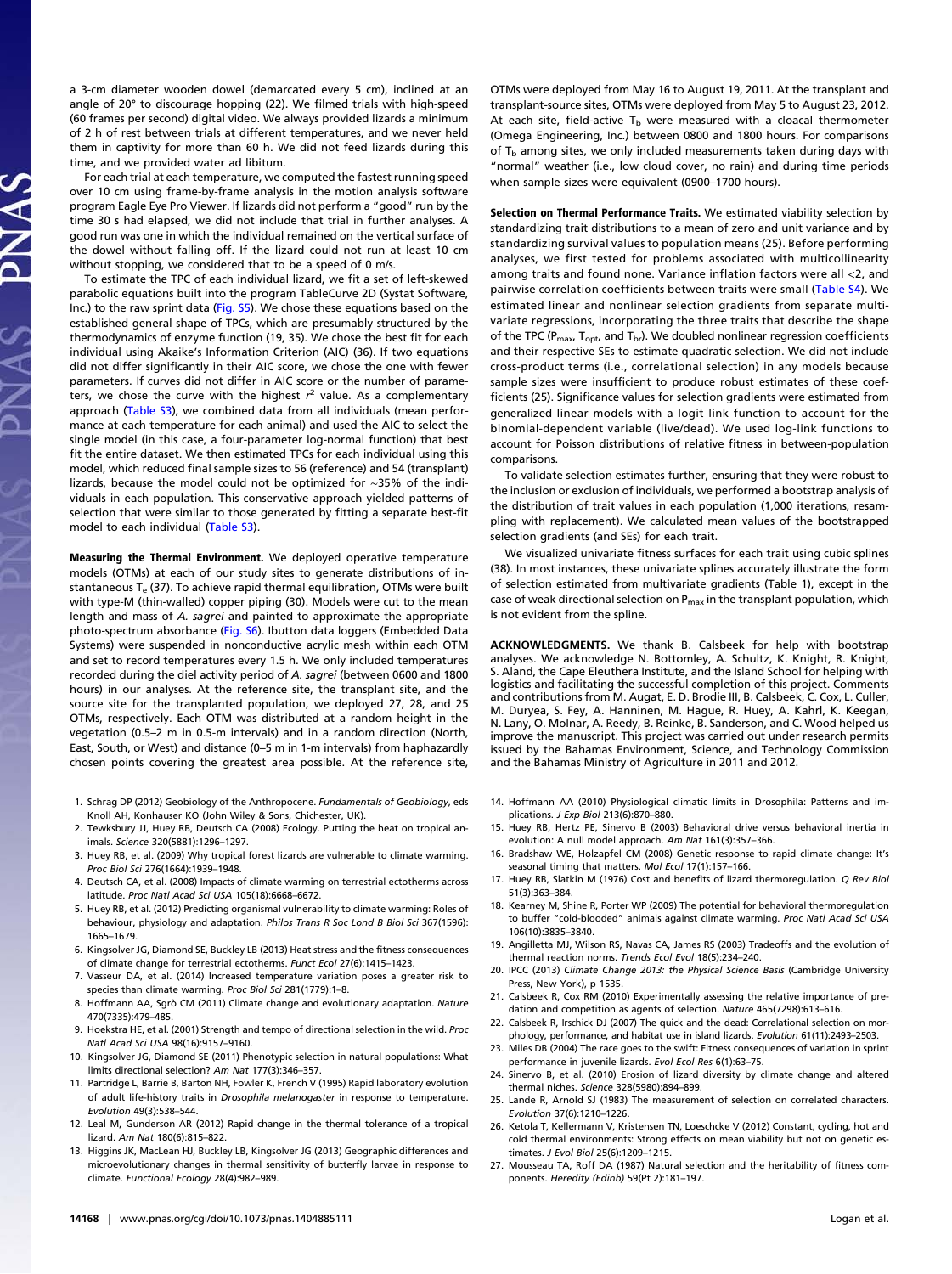a 3-cm diameter wooden dowel (demarcated every 5 cm), inclined at an angle of 20° to discourage hopping (22). We filmed trials with high-speed (60 frames per second) digital video. We always provided lizards a minimum of 2 h of rest between trials at different temperatures, and we never held them in captivity for more than 60 h. We did not feed lizards during this time, and we provided water ad libitum.

For each trial at each temperature, we computed the fastest running speed over 10 cm using frame-by-frame analysis in the motion analysis software program Eagle Eye Pro Viewer. If lizards did not perform a "good" run by the time 30 s had elapsed, we did not include that trial in further analyses. A good run was one in which the individual remained on the vertical surface of the dowel without falling off. If the lizard could not run at least 10 cm without stopping, we considered that to be a speed of 0 m/s.

To estimate the TPC of each individual lizard, we fit a set of left-skewed parabolic equations built into the program TableCurve 2D (Systat Software, Inc.) to the raw sprint data [\(Fig. S5\)](http://www.pnas.org/lookup/suppl/doi:10.1073/pnas.1404885111/-/DCSupplemental/pnas.201404885SI.pdf?targetid=nameddest=SF5). We chose these equations based on the established general shape of TPCs, which are presumably structured by the thermodynamics of enzyme function (19, 35). We chose the best fit for each individual using Akaike's Information Criterion (AIC) (36). If two equations did not differ significantly in their AIC score, we chose the one with fewer parameters. If curves did not differ in AIC score or the number of parameters, we chose the curve with the highest  $r^2$  value. As a complementary approach [\(Table S3\)](http://www.pnas.org/lookup/suppl/doi:10.1073/pnas.1404885111/-/DCSupplemental/pnas.201404885SI.pdf?targetid=nameddest=ST3), we combined data from all individuals (mean performance at each temperature for each animal) and used the AIC to select the single model (in this case, a four-parameter log-normal function) that best fit the entire dataset. We then estimated TPCs for each individual using this model, which reduced final sample sizes to 56 (reference) and 54 (transplant) lizards, because the model could not be optimized for ∼35% of the individuals in each population. This conservative approach yielded patterns of selection that were similar to those generated by fitting a separate best-fit model to each individual [\(Table S3\)](http://www.pnas.org/lookup/suppl/doi:10.1073/pnas.1404885111/-/DCSupplemental/pnas.201404885SI.pdf?targetid=nameddest=ST3).

Measuring the Thermal Environment. We deployed operative temperature models (OTMs) at each of our study sites to generate distributions of instantaneous  $T_e$  (37). To achieve rapid thermal equilibration, OTMs were built with type-M (thin-walled) copper piping (30). Models were cut to the mean length and mass of A. sagrei and painted to approximate the appropriate photo-spectrum absorbance ([Fig. S6\)](http://www.pnas.org/lookup/suppl/doi:10.1073/pnas.1404885111/-/DCSupplemental/pnas.201404885SI.pdf?targetid=nameddest=SF6). Ibutton data loggers (Embedded Data Systems) were suspended in nonconductive acrylic mesh within each OTM and set to record temperatures every 1.5 h. We only included temperatures recorded during the diel activity period of A. sagrei (between 0600 and 1800 hours) in our analyses. At the reference site, the transplant site, and the source site for the transplanted population, we deployed 27, 28, and 25 OTMs, respectively. Each OTM was distributed at a random height in the vegetation (0.5–2 m in 0.5-m intervals) and in a random direction (North, East, South, or West) and distance (0–5 m in 1-m intervals) from haphazardly chosen points covering the greatest area possible. At the reference site,

- 1. Schrag DP (2012) Geobiology of the Anthropocene. Fundamentals of Geobiology, eds Knoll AH, Konhauser KO (John Wiley & Sons, Chichester, UK).
- 2. Tewksbury JJ, Huey RB, Deutsch CA (2008) Ecology. Putting the heat on tropical animals. Science 320(5881):1296–1297.
- 3. Huey RB, et al. (2009) Why tropical forest lizards are vulnerable to climate warming. Proc Biol Sci 276(1664):1939–1948.
- 4. Deutsch CA, et al. (2008) Impacts of climate warming on terrestrial ectotherms across latitude. Proc Natl Acad Sci USA 105(18):6668–6672.
- 5. Huey RB, et al. (2012) Predicting organismal vulnerability to climate warming: Roles of behaviour, physiology and adaptation. Philos Trans R Soc Lond B Biol Sci 367(1596): 1665–1679.
- 6. Kingsolver JG, Diamond SE, Buckley LB (2013) Heat stress and the fitness consequences of climate change for terrestrial ectotherms. Funct Ecol 27(6):1415–1423.
- 7. Vasseur DA, et al. (2014) Increased temperature variation poses a greater risk to species than climate warming. Proc Biol Sci 281(1779):1–8.
- 8. Hoffmann AA, Sgrò CM (2011) Climate change and evolutionary adaptation. Nature 470(7335):479–485.
- 9. Hoekstra HE, et al. (2001) Strength and tempo of directional selection in the wild. Proc Natl Acad Sci USA 98(16):9157–9160.
- 10. Kingsolver JG, Diamond SE (2011) Phenotypic selection in natural populations: What limits directional selection? Am Nat 177(3):346–357.
- 11. Partridge L, Barrie B, Barton NH, Fowler K, French V (1995) Rapid laboratory evolution of adult life-history traits in Drosophila melanogaster in response to temperature. Evolution 49(3):538–544.
- 12. Leal M, Gunderson AR (2012) Rapid change in the thermal tolerance of a tropical lizard. Am Nat 180(6):815–822.
- 13. Higgins JK, MacLean HJ, Buckley LB, Kingsolver JG (2013) Geographic differences and microevolutionary changes in thermal sensitivity of butterfly larvae in response to climate. Functional Ecology 28(4):982–989.

OTMs were deployed from May 16 to August 19, 2011. At the transplant and transplant-source sites, OTMs were deployed from May 5 to August 23, 2012. At each site, field-active  $T_b$  were measured with a cloacal thermometer (Omega Engineering, Inc.) between 0800 and 1800 hours. For comparisons of  $T_b$  among sites, we only included measurements taken during days with "normal" weather (i.e., low cloud cover, no rain) and during time periods when sample sizes were equivalent (0900–1700 hours).

Selection on Thermal Performance Traits. We estimated viability selection by standardizing trait distributions to a mean of zero and unit variance and by standardizing survival values to population means (25). Before performing analyses, we first tested for problems associated with multicollinearity among traits and found none. Variance inflation factors were all <2, and pairwise correlation coefficients between traits were small [\(Table S4](http://www.pnas.org/lookup/suppl/doi:10.1073/pnas.1404885111/-/DCSupplemental/pnas.201404885SI.pdf?targetid=nameddest=ST4)). We estimated linear and nonlinear selection gradients from separate multivariate regressions, incorporating the three traits that describe the shape of the TPC ( $P_{\text{max}}$ ,  $T_{\text{opt}}$ , and  $T_{\text{br}}$ ). We doubled nonlinear regression coefficients and their respective SEs to estimate quadratic selection. We did not include cross-product terms (i.e., correlational selection) in any models because sample sizes were insufficient to produce robust estimates of these coefficients (25). Significance values for selection gradients were estimated from generalized linear models with a logit link function to account for the binomial-dependent variable (live/dead). We used log-link functions to account for Poisson distributions of relative fitness in between-population comparisons.

To validate selection estimates further, ensuring that they were robust to the inclusion or exclusion of individuals, we performed a bootstrap analysis of the distribution of trait values in each population (1,000 iterations, resampling with replacement). We calculated mean values of the bootstrapped selection gradients (and SEs) for each trait.

We visualized univariate fitness surfaces for each trait using cubic splines (38). In most instances, these univariate splines accurately illustrate the form of selection estimated from multivariate gradients (Table 1), except in the case of weak directional selection on  $P_{\text{max}}$  in the transplant population, which is not evident from the spline.

ACKNOWLEDGMENTS. We thank B. Calsbeek for help with bootstrap analyses. We acknowledge N. Bottomley, A. Schultz, K. Knight, R. Knight, S. Aland, the Cape Eleuthera Institute, and the Island School for helping with logistics and facilitating the successful completion of this project. Comments and contributions from M. Augat, E. D. Brodie III, B. Calsbeek, C. Cox, L. Culler, M. Duryea, S. Fey, A. Hanninen, M. Hague, R. Huey, A. Kahrl, K. Keegan, N. Lany, O. Molnar, A. Reedy, B. Reinke, B. Sanderson, and C. Wood helped us improve the manuscript. This project was carried out under research permits issued by the Bahamas Environment, Science, and Technology Commission and the Bahamas Ministry of Agriculture in 2011 and 2012.

- 14. Hoffmann AA (2010) Physiological climatic limits in Drosophila: Patterns and implications. J Exp Biol 213(6):870–880.
- 15. Huey RB, Hertz PE, Sinervo B (2003) Behavioral drive versus behavioral inertia in evolution: A null model approach. Am Nat 161(3):357–366.
- 16. Bradshaw WE, Holzapfel CM (2008) Genetic response to rapid climate change: It's seasonal timing that matters. Mol Ecol 17(1):157–166.
- 17. Huey RB, Slatkin M (1976) Cost and benefits of lizard thermoregulation. Q Rev Biol 51(3):363–384.
- 18. Kearney M, Shine R, Porter WP (2009) The potential for behavioral thermoregulation to buffer "cold-blooded" animals against climate warming. Proc Natl Acad Sci USA 106(10):3835–3840.
- 19. Angilletta MJ, Wilson RS, Navas CA, James RS (2003) Tradeoffs and the evolution of thermal reaction norms. Trends Ecol Evol 18(5):234–240.
- 20. IPCC (2013) Climate Change 2013: the Physical Science Basis (Cambridge University Press, New York), p 1535.
- 21. Calsbeek R, Cox RM (2010) Experimentally assessing the relative importance of predation and competition as agents of selection. Nature 465(7298):613–616.
- 22. Calsbeek R, Irschick DJ (2007) The quick and the dead: Correlational selection on morphology, performance, and habitat use in island lizards. Evolution 61(11):2493–2503.
- 23. Miles DB (2004) The race goes to the swift: Fitness consequences of variation in sprint performance in juvenile lizards. Evol Ecol Res 6(1):63–75.
- 24. Sinervo B, et al. (2010) Erosion of lizard diversity by climate change and altered thermal niches. Science 328(5980):894–899.
- 25. Lande R, Arnold SJ (1983) The measurement of selection on correlated characters. Evolution 37(6):1210–1226.
- 26. Ketola T, Kellermann V, Kristensen TN, Loeschcke V (2012) Constant, cycling, hot and cold thermal environments: Strong effects on mean viability but not on genetic estimates. J Evol Biol 25(6):1209–1215.
- 27. Mousseau TA, Roff DA (1987) Natural selection and the heritability of fitness components. Heredity (Edinb) 59(Pt 2):181–197.